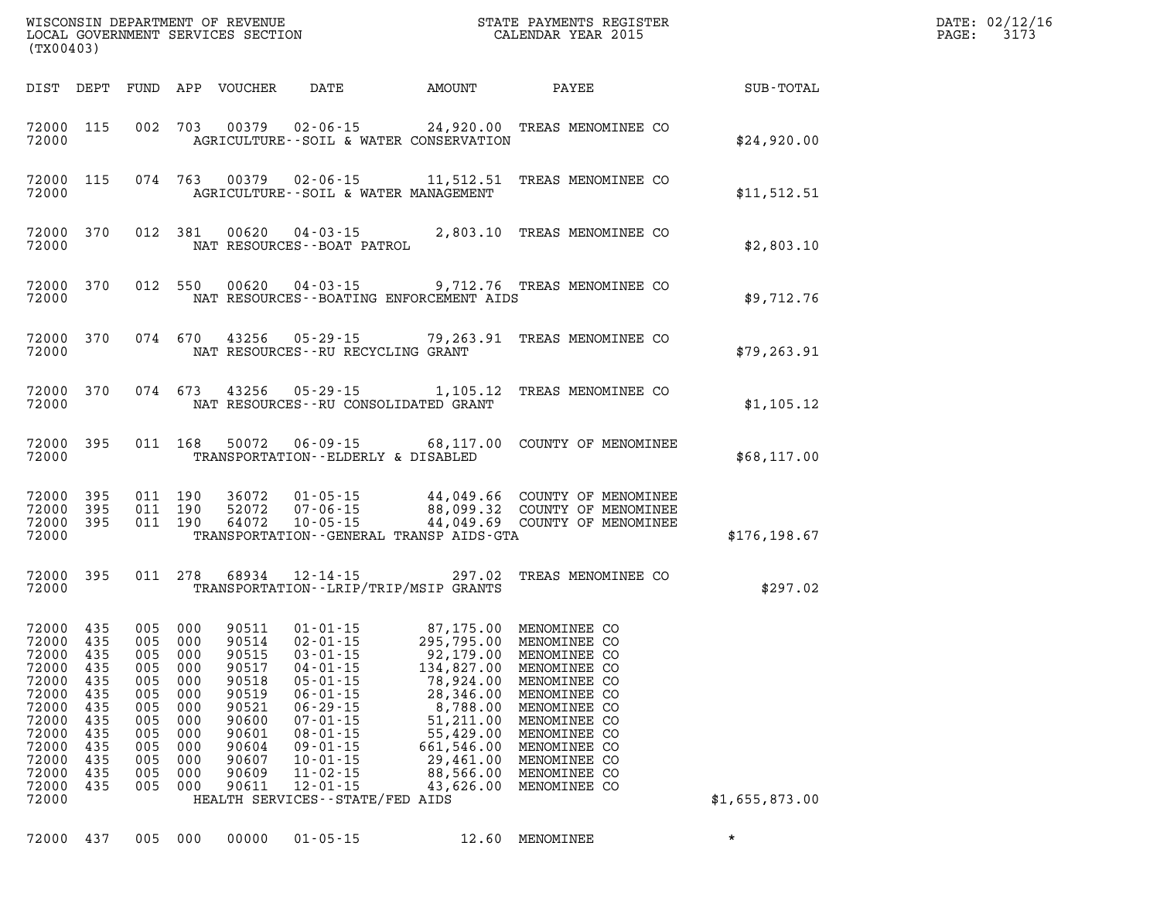| (TX00403)                                                                                                                              |                                                                    |                                                             |                                                                                                         |                                                                                                                   |                                                                                                                                                                                                                                                                              |                                                                                                                                                                                      |                                                                                                                                                                                              |                | DATE: 02/12/16<br>3173<br>PAGE: |
|----------------------------------------------------------------------------------------------------------------------------------------|--------------------------------------------------------------------|-------------------------------------------------------------|---------------------------------------------------------------------------------------------------------|-------------------------------------------------------------------------------------------------------------------|------------------------------------------------------------------------------------------------------------------------------------------------------------------------------------------------------------------------------------------------------------------------------|--------------------------------------------------------------------------------------------------------------------------------------------------------------------------------------|----------------------------------------------------------------------------------------------------------------------------------------------------------------------------------------------|----------------|---------------------------------|
| DIST DEPT                                                                                                                              |                                                                    |                                                             |                                                                                                         | FUND APP VOUCHER                                                                                                  | DATE                                                                                                                                                                                                                                                                         | AMOUNT                                                                                                                                                                               | PAYEE                                                                                                                                                                                        | SUB-TOTAL      |                                 |
| 72000 115<br>72000                                                                                                                     |                                                                    |                                                             | 002 703                                                                                                 | 00379                                                                                                             |                                                                                                                                                                                                                                                                              | AGRICULTURE--SOIL & WATER CONSERVATION                                                                                                                                               | 02-06-15 24,920.00 TREAS MENOMINEE CO                                                                                                                                                        | \$24,920.00    |                                 |
| 72000 115<br>72000                                                                                                                     |                                                                    |                                                             | 074 763                                                                                                 | 00379                                                                                                             |                                                                                                                                                                                                                                                                              | AGRICULTURE--SOIL & WATER MANAGEMENT                                                                                                                                                 | 02-06-15 11,512.51 TREAS MENOMINEE CO                                                                                                                                                        | \$11,512.51    |                                 |
| 72000                                                                                                                                  | 72000 370                                                          |                                                             | 012 381                                                                                                 | 00620                                                                                                             | 04-03-15<br>NAT RESOURCES--BOAT PATROL                                                                                                                                                                                                                                       |                                                                                                                                                                                      | 2,803.10 TREAS MENOMINEE CO                                                                                                                                                                  | \$2,803.10     |                                 |
| 72000                                                                                                                                  | 72000 370                                                          |                                                             | 012 550                                                                                                 |                                                                                                                   | $00620$ $04 - 03 - 15$                                                                                                                                                                                                                                                       | NAT RESOURCES -- BOATING ENFORCEMENT AIDS                                                                                                                                            | 9,712.76 TREAS MENOMINEE CO                                                                                                                                                                  | \$9,712.76     |                                 |
| 72000                                                                                                                                  | 72000 370                                                          |                                                             | 074 670                                                                                                 |                                                                                                                   | NAT RESOURCES -- RU RECYCLING GRANT                                                                                                                                                                                                                                          |                                                                                                                                                                                      | 43256 05-29-15 79,263.91 TREAS MENOMINEE CO                                                                                                                                                  | \$79, 263.91   |                                 |
| 72000                                                                                                                                  | 72000 370                                                          |                                                             | 074 673                                                                                                 | 43256                                                                                                             |                                                                                                                                                                                                                                                                              | NAT RESOURCES--RU CONSOLIDATED GRANT                                                                                                                                                 | 05-29-15 1,105.12 TREAS MENOMINEE CO                                                                                                                                                         | \$1,105.12     |                                 |
| 72000 395<br>72000                                                                                                                     |                                                                    |                                                             | 011 168                                                                                                 | 50072                                                                                                             | TRANSPORTATION--ELDERLY & DISABLED                                                                                                                                                                                                                                           |                                                                                                                                                                                      | 06-09-15 68,117.00 COUNTY OF MENOMINEE                                                                                                                                                       | \$68,117.00    |                                 |
| 72000<br>72000 395<br>72000 395<br>72000                                                                                               | 395                                                                |                                                             | 011 190<br>011 190<br>011 190                                                                           | 36072<br>52072<br>64072                                                                                           | $07 - 06 - 15$<br>$10 - 05 - 15$                                                                                                                                                                                                                                             | TRANSPORTATION--GENERAL TRANSP AIDS-GTA                                                                                                                                              | 01-05-15 44,049.66 COUNTY OF MENOMINEE<br>88,099.32 COUNTY OF MENOMINEE<br>44,049.69 COUNTY OF MENOMINEE                                                                                     | \$176, 198.67  |                                 |
| 72000 395<br>72000                                                                                                                     |                                                                    |                                                             | 011 278                                                                                                 | 68934                                                                                                             | 12-14-15                                                                                                                                                                                                                                                                     | 297.02<br>TRANSPORTATION - - LRIP/TRIP/MSIP GRANTS                                                                                                                                   | TREAS MENOMINEE CO                                                                                                                                                                           | \$297.02       |                                 |
| 72000 435<br>72000<br>72000 435<br>72000 435<br>72000<br>72000<br>72000<br>72000<br>72000<br>72000<br>72000<br>72000<br>72000<br>72000 | 435<br>435<br>435<br>435<br>435<br>435<br>435<br>435<br>435<br>435 | 005<br>005<br>005<br>005<br>005<br>005<br>005<br>005<br>005 | 005 000<br>005 000<br>005 000<br>005 000<br>000<br>000<br>000<br>000<br>000<br>000<br>000<br>000<br>000 | 90511<br>90514<br>90515<br>90517<br>90518<br>90519<br>90521<br>90600<br>90601<br>90604<br>90607<br>90609<br>90611 | $01 - 01 - 15$<br>$02 - 01 - 15$<br>$03 - 01 - 15$<br>$04 - 01 - 15$<br>$05 - 01 - 15$<br>$06 - 01 - 15$<br>$06 - 29 - 15$<br>$07 - 01 - 15$<br>$08 - 01 - 15$<br>$09 - 01 - 15$<br>$10 - 01 - 15$<br>$11 - 02 - 15$<br>$12 - 01 - 15$<br>HEALTH SERVICES - - STATE/FED AIDS | 87,175.00 MENOMINEE CO<br>295,795.00<br>92,179.00<br>134,827.00<br>78,924.00<br>28,346.00<br>8,788.00<br>51,211.00<br>55,429.00<br>661,546.00<br>29,461.00<br>88,566.00<br>43,626.00 | MENOMINEE CO<br>MENOMINEE CO<br>MENOMINEE CO<br>MENOMINEE CO<br>MENOMINEE CO<br>MENOMINEE CO<br>MENOMINEE CO<br>MENOMINEE CO<br>MENOMINEE CO<br>MENOMINEE CO<br>MENOMINEE CO<br>MENOMINEE CO | \$1,655,873.00 |                                 |
| 72000                                                                                                                                  | 437                                                                | 005                                                         | 000                                                                                                     | 00000                                                                                                             | $01 - 05 - 15$                                                                                                                                                                                                                                                               | 12.60                                                                                                                                                                                | MENOMINEE                                                                                                                                                                                    | $\star$        |                                 |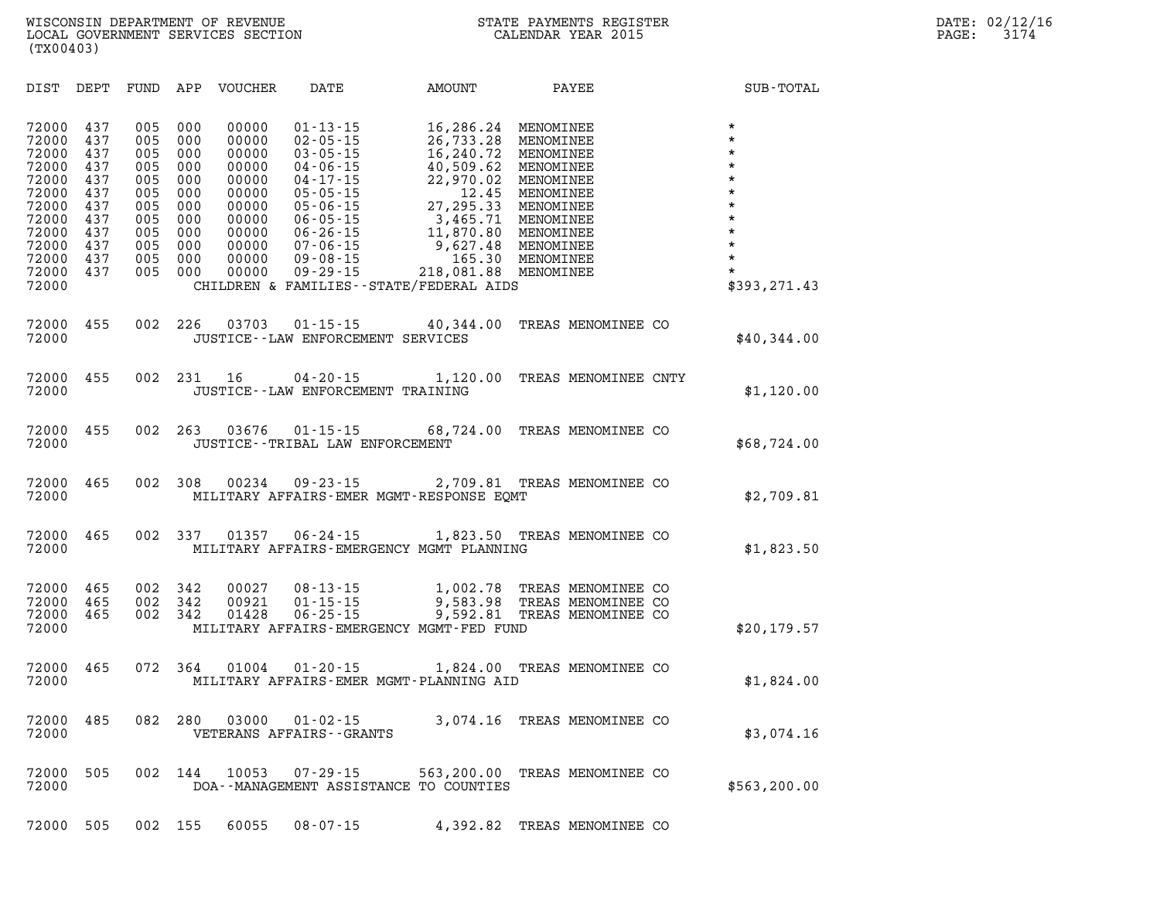| 1 TYP 0 7 D 7                                                                                                     |                                                                                  |                                                                                  |                                                                                  |                                                                                                          |                                                                                                                                                                                                    |                                                                                                                                                                                                 |                                                                                                                                                          |                                                                                                                                                   |
|-------------------------------------------------------------------------------------------------------------------|----------------------------------------------------------------------------------|----------------------------------------------------------------------------------|----------------------------------------------------------------------------------|----------------------------------------------------------------------------------------------------------|----------------------------------------------------------------------------------------------------------------------------------------------------------------------------------------------------|-------------------------------------------------------------------------------------------------------------------------------------------------------------------------------------------------|----------------------------------------------------------------------------------------------------------------------------------------------------------|---------------------------------------------------------------------------------------------------------------------------------------------------|
| DIST                                                                                                              | DEPT                                                                             | FUND APP                                                                         |                                                                                  | VOUCHER                                                                                                  | DATE                                                                                                                                                                                               | AMOUNT                                                                                                                                                                                          | PAYEE                                                                                                                                                    | SUB-TOTAL                                                                                                                                         |
| 72000<br>72000<br>72000<br>72000<br>72000<br>72000<br>72000<br>72000<br>72000<br>72000<br>72000<br>72000<br>72000 | 437<br>437<br>437<br>437<br>437<br>437<br>437<br>437<br>437<br>437<br>437<br>437 | 005<br>005<br>005<br>005<br>005<br>005<br>005<br>005<br>005<br>005<br>005<br>005 | 000<br>000<br>000<br>000<br>000<br>000<br>000<br>000<br>000<br>000<br>000<br>000 | 00000<br>00000<br>00000<br>00000<br>00000<br>00000<br>00000<br>00000<br>00000<br>00000<br>00000<br>00000 | $01 - 13 - 15$<br>$02 - 05 - 15$<br>$03 - 05 - 15$<br>$04 - 06 - 15$<br>04-17-15<br>$05 - 05 - 15$<br>$05 - 06 - 15$<br>$06 - 05 - 15$<br>$06 - 26 - 15$<br>07-06-15<br>09-08-15<br>$09 - 29 - 15$ | 16,286.24<br>26,733.28<br>16,240.72<br>40,509.62<br>22,970.02<br>12.45<br>27, 295.33<br>3,465.71<br>11,870.80<br>9,627.48<br>165.30<br>218,081.88<br>CHILDREN & FAMILIES - - STATE/FEDERAL AIDS | MENOMINEE<br>MENOMINEE<br>MENOMINEE<br>MENOMINEE<br>MENOMINEE<br>MENOMINEE<br>MENOMINEE<br>MENOMINEE<br>MENOMINEE<br>MENOMINEE<br>MENOMINEE<br>MENOMINEE | $\star$<br>$\star$<br>$\star$<br>$\star$<br>$\star$<br>$\star$<br>$\star$<br>$\star$<br>$\star$<br>$\star$<br>$\star$<br>$\star$<br>\$393, 271.43 |
| 72000<br>72000                                                                                                    | 455                                                                              | 002                                                                              | 226                                                                              | 03703                                                                                                    | JUSTICE - - LAW ENFORCEMENT SERVICES                                                                                                                                                               | $01 - 15 - 15$ 40,344.00                                                                                                                                                                        | TREAS MENOMINEE CO                                                                                                                                       | \$40,344.00                                                                                                                                       |
| 72000<br>72000                                                                                                    | 455                                                                              | 002                                                                              | 231                                                                              | 16                                                                                                       | $04 - 20 - 15$<br>JUSTICE - - LAW ENFORCEMENT TRAINING                                                                                                                                             | 1,120.00                                                                                                                                                                                        | TREAS MENOMINEE CNTY                                                                                                                                     | \$1,120.00                                                                                                                                        |
| 72000<br>72000                                                                                                    | 455                                                                              | 002                                                                              | 263                                                                              |                                                                                                          | JUSTICE - - TRIBAL LAW ENFORCEMENT                                                                                                                                                                 |                                                                                                                                                                                                 | 03676  01-15-15  68,724.00  TREAS MENOMINEE CO                                                                                                           | \$68,724.00                                                                                                                                       |
| 72000<br>72000                                                                                                    | 465                                                                              | 002                                                                              | 308                                                                              |                                                                                                          |                                                                                                                                                                                                    | MILITARY AFFAIRS-EMER MGMT-RESPONSE EOMT                                                                                                                                                        | 00234 09-23-15 2,709.81 TREAS MENOMINEE CO                                                                                                               | \$2,709.81                                                                                                                                        |
| 72000<br>72000                                                                                                    | 465                                                                              | 002                                                                              | 337                                                                              |                                                                                                          | $01357$ $06 - 24 - 15$                                                                                                                                                                             | MILITARY AFFAIRS-EMERGENCY MGMT PLANNING                                                                                                                                                        | 1,823.50 TREAS MENOMINEE CO                                                                                                                              | \$1,823.50                                                                                                                                        |

| 72000 465 002 342 |     |         | 00027 | 08-13-15                                 |  | 1,002.78 TREAS MENOMINEE CO |             |
|-------------------|-----|---------|-------|------------------------------------------|--|-----------------------------|-------------|
| 72000 465         |     | 002 342 | 00921 | 01-15-15                                 |  | 9,583.98 TREAS MENOMINEE CO |             |
| 72000             | 465 | 002 342 |       | 01428 06-25-15                           |  | 9,592.81 TREAS MENOMINEE CO |             |
| 72000             |     |         |       | MILITARY AFFAIRS-EMERGENCY MGMT-FED FUND |  |                             | \$20,179.57 |

| 72000 465 072 364 |  | 01004 | 01-20-15 | 1,824.00 TREAS MENOMINEE CO             |            |
|-------------------|--|-------|----------|-----------------------------------------|------------|
| 72000             |  |       |          | MILITARY AFFAIRS-EMER MGMT-PLANNING AID | \$1,824.00 |

- **72000 485 082 280 03000 01-02-15 3,074.16 TREAS MENOMINEE CO 72000 VETERANS AFFAIRS--GRANTS 53,074.16**
- **72000 505 002 144 10053 07-29-15 563,200.00 TREAS MENOMINEE CO**  *DOA--MANAGEMENT ASSISTANCE TO COUNTIES* $$563,200.00$

**72000 505 002 155 60055 08-07-15 4,392.82 TREAS MENOMINEE CO**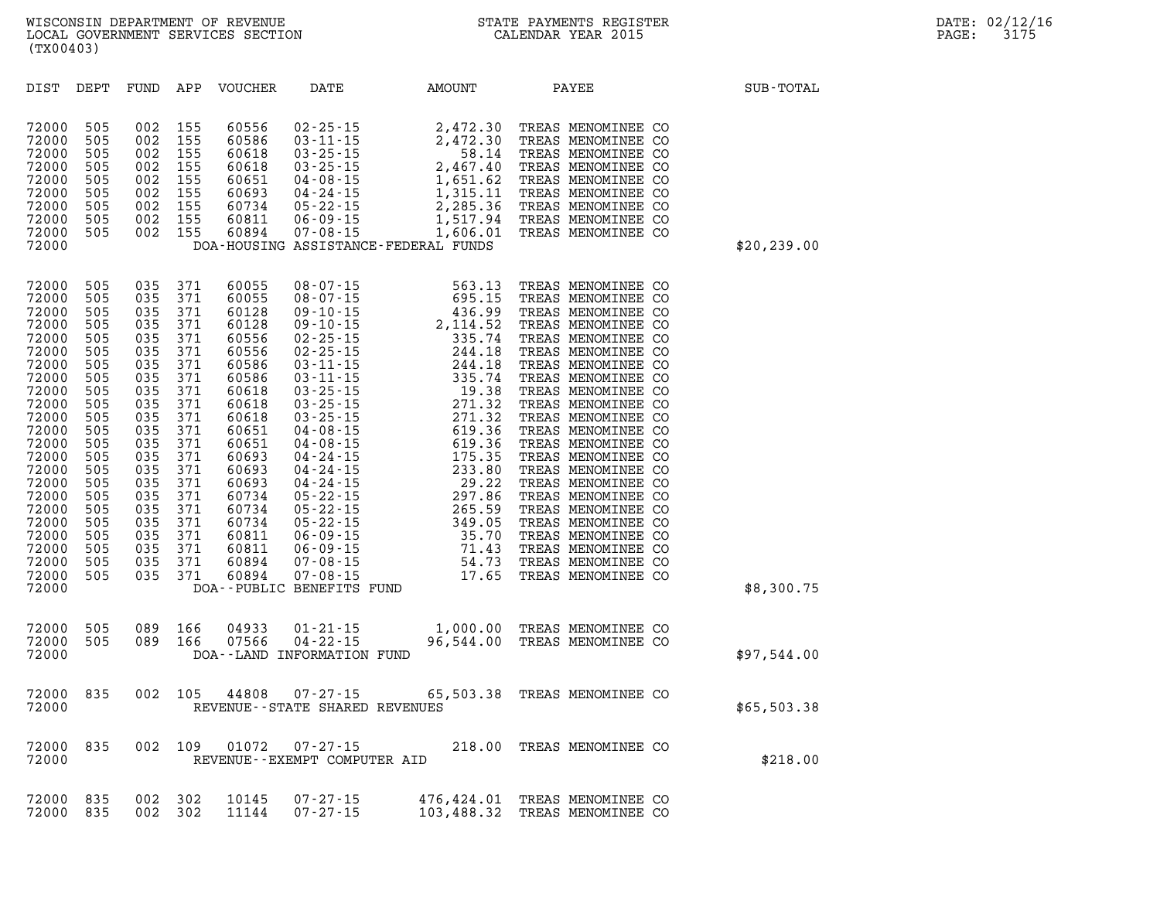| DIST                                                                                                                                                                                                                 | DEPT                                                                                                                                                          | FUND                                                                                                                                                          | APP                                                                                                                                                           | <b>VOUCHER</b>                                                                                                                                                                                              | DATE                                                                                                                                                           | AMOUNT                                                                                                                                                                                                                                                                                                                                                                                          | PAYEE                                                                                                                                                                                                                                                                                                                                                                                                                                                                                                                  | SUB-TOTAL   |
|----------------------------------------------------------------------------------------------------------------------------------------------------------------------------------------------------------------------|---------------------------------------------------------------------------------------------------------------------------------------------------------------|---------------------------------------------------------------------------------------------------------------------------------------------------------------|---------------------------------------------------------------------------------------------------------------------------------------------------------------|-------------------------------------------------------------------------------------------------------------------------------------------------------------------------------------------------------------|----------------------------------------------------------------------------------------------------------------------------------------------------------------|-------------------------------------------------------------------------------------------------------------------------------------------------------------------------------------------------------------------------------------------------------------------------------------------------------------------------------------------------------------------------------------------------|------------------------------------------------------------------------------------------------------------------------------------------------------------------------------------------------------------------------------------------------------------------------------------------------------------------------------------------------------------------------------------------------------------------------------------------------------------------------------------------------------------------------|-------------|
| 72000<br>72000<br>72000<br>72000<br>72000<br>72000<br>72000<br>72000<br>72000<br>72000                                                                                                                               | 505<br>505<br>505<br>505<br>505<br>505<br>505<br>505<br>505                                                                                                   | 002<br>002<br>002<br>002<br>002<br>002<br>002<br>002<br>002                                                                                                   | 155<br>155<br>155<br>155<br>155<br>155<br>155<br>155<br>155                                                                                                   | 60556<br>60586<br>60618<br>60618<br>60651<br>60693<br>60734<br>60811<br>60894                                                                                                                               | $02 - 25 - 15$<br>$03 - 11 - 15$<br>$03 - 25 - 15$<br>$03 - 25 - 15$<br>$04 - 08 - 15$<br>$04 - 24 - 15$<br>$05 - 22 - 15$<br>$06 - 09 - 15$<br>$07 - 08 - 15$ | 2,472.30<br>2,472.30<br>58.14<br>2,467.40<br>1,651.62<br>1,315.11<br>2,285.36<br>1,517.94<br>1,606.01<br>DOA-HOUSING ASSISTANCE-FEDERAL FUNDS                                                                                                                                                                                                                                                   | TREAS MENOMINEE CO<br>TREAS MENOMINEE CO<br>TREAS MENOMINEE CO<br>TREAS MENOMINEE CO<br>TREAS MENOMINEE CO<br>TREAS MENOMINEE CO<br>TREAS MENOMINEE CO<br>TREAS MENOMINEE CO<br>TREAS MENOMINEE CO                                                                                                                                                                                                                                                                                                                     | \$20,239.00 |
| 72000<br>72000<br>72000<br>72000<br>72000<br>72000<br>72000<br>72000<br>72000<br>72000<br>72000<br>72000<br>72000<br>72000<br>72000<br>72000<br>72000<br>72000<br>72000<br>72000<br>72000<br>72000<br>72000<br>72000 | 505<br>505<br>505<br>505<br>505<br>505<br>505<br>505<br>505<br>505<br>505<br>505<br>505<br>505<br>505<br>505<br>505<br>505<br>505<br>505<br>505<br>505<br>505 | 035<br>035<br>035<br>035<br>035<br>035<br>035<br>035<br>035<br>035<br>035<br>035<br>035<br>035<br>035<br>035<br>035<br>035<br>035<br>035<br>035<br>035<br>035 | 371<br>371<br>371<br>371<br>371<br>371<br>371<br>371<br>371<br>371<br>371<br>371<br>371<br>371<br>371<br>371<br>371<br>371<br>371<br>371<br>371<br>371<br>371 | 60055<br>60055<br>60128<br>60128<br>60556<br>60556<br>60586<br>60586<br>60618<br>60618<br>60618<br>60651<br>60651<br>60693<br>60693<br>60693<br>60734<br>60734<br>60734<br>60811<br>60811<br>60894<br>60894 | DOA--PUBLIC BENEFITS FUND                                                                                                                                      | $\begin{array}{r} \text{--}\, 07\,\text{-}\, 15 \\ \text{--}\, 08\,\text{-}\, 07\,\text{-}\, 15 \\ \text{--}\, 09\,\text{-}\, 10\,\text{-}\, 15 \\ \text{--}\, 02\,\text{-}\, 25\,\text{-}\, 15 \\ \text{--}\, 02\,\text{-}\, 25\,\text{-}\, 15 \\ \text{--}\, 03\,\text{-}\, 11\,\text{-}\, 15 \\ \text{--}\, 03\,\text{-}\, 25\,\text{-}\, 15 \\ \text{--}\, 03\,\text{-}\, 25\,\text{-}\, 1$ | TREAS MENOMINEE CO<br>TREAS MENOMINEE CO<br>TREAS MENOMINEE CO<br>TREAS MENOMINEE CO<br>TREAS MENOMINEE CO<br>TREAS MENOMINEE CO<br>TREAS MENOMINEE CO<br>TREAS MENOMINEE CO<br>TREAS MENOMINEE CO<br>TREAS MENOMINEE CO<br>TREAS MENOMINEE CO<br>TREAS MENOMINEE CO<br>TREAS MENOMINEE CO<br>TREAS MENOMINEE CO<br>TREAS MENOMINEE CO<br>TREAS MENOMINEE CO<br>TREAS MENOMINEE CO<br>TREAS MENOMINEE CO<br>TREAS MENOMINEE CO<br>TREAS MENOMINEE CO<br>TREAS MENOMINEE CO<br>TREAS MENOMINEE CO<br>TREAS MENOMINEE CO | \$8,300.75  |
| 72000<br>72000<br>72000                                                                                                                                                                                              | 505<br>505                                                                                                                                                    | 089<br>089                                                                                                                                                    | 166<br>166                                                                                                                                                    | 04933<br>07566                                                                                                                                                                                              | $01 - 21 - 15$<br>$04 - 22 - 15$<br>DOA--LAND INFORMATION FUND                                                                                                 | 96,544.00                                                                                                                                                                                                                                                                                                                                                                                       | 1,000.00 TREAS MENOMINEE CO<br>TREAS MENOMINEE CO                                                                                                                                                                                                                                                                                                                                                                                                                                                                      | \$97,544.00 |
| 72000<br>72000                                                                                                                                                                                                       | 835                                                                                                                                                           | 002                                                                                                                                                           | 105                                                                                                                                                           | 44808                                                                                                                                                                                                       | $07 - 27 - 15$<br>REVENUE - - STATE SHARED REVENUES                                                                                                            | 65,503.38                                                                                                                                                                                                                                                                                                                                                                                       | TREAS MENOMINEE CO                                                                                                                                                                                                                                                                                                                                                                                                                                                                                                     | \$65,503.38 |
| 72000<br>72000                                                                                                                                                                                                       | 835                                                                                                                                                           | 002                                                                                                                                                           | 109                                                                                                                                                           | 01072                                                                                                                                                                                                       | $07 - 27 - 15$<br>REVENUE - - EXEMPT COMPUTER AID                                                                                                              | 218.00                                                                                                                                                                                                                                                                                                                                                                                          | TREAS MENOMINEE CO                                                                                                                                                                                                                                                                                                                                                                                                                                                                                                     | \$218.00    |
| 72000<br>72000                                                                                                                                                                                                       | 835<br>835                                                                                                                                                    | 002<br>002                                                                                                                                                    | 302<br>302                                                                                                                                                    | 10145<br>11144                                                                                                                                                                                              | $07 - 27 - 15$<br>$07 - 27 - 15$                                                                                                                               | 476,424.01<br>103,488.32                                                                                                                                                                                                                                                                                                                                                                        | TREAS MENOMINEE CO<br>TREAS MENOMINEE CO                                                                                                                                                                                                                                                                                                                                                                                                                                                                               |             |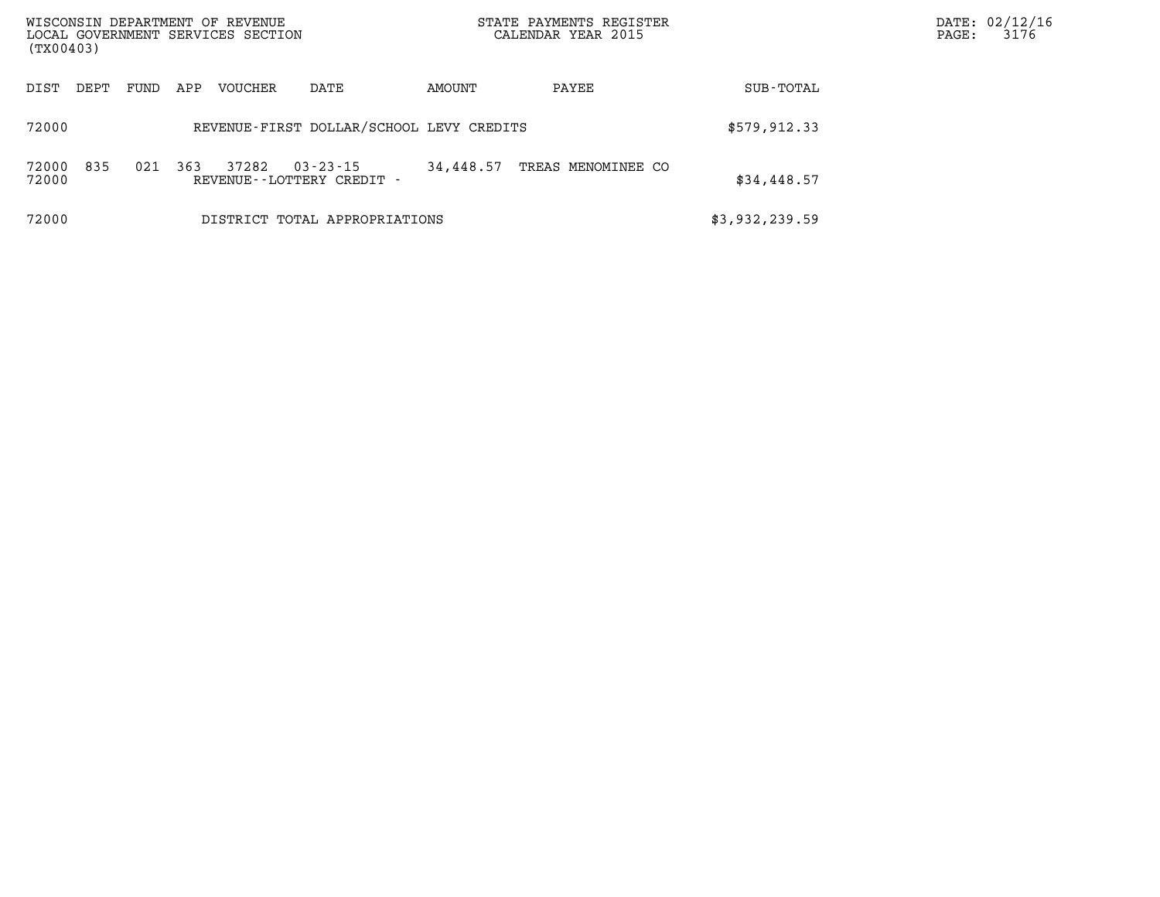| WISCONSIN DEPARTMENT OF REVENUE<br>LOCAL GOVERNMENT SERVICES SECTION<br>(TX00403) |      |      |     |         |                                             |           | STATE PAYMENTS REGISTER<br>CALENDAR YEAR 2015 | DATE: 02/12/16<br>3176<br>PAGE: |  |
|-----------------------------------------------------------------------------------|------|------|-----|---------|---------------------------------------------|-----------|-----------------------------------------------|---------------------------------|--|
| DIST                                                                              | DEPT | FUND | APP | VOUCHER | DATE                                        | AMOUNT    | PAYEE                                         | SUB-TOTAL                       |  |
| 72000                                                                             |      |      |     |         | REVENUE-FIRST DOLLAR/SCHOOL LEVY CREDITS    |           |                                               | \$579, 912.33                   |  |
| 72000<br>72000                                                                    | 835  | 021  | 363 | 37282   | $03 - 23 - 15$<br>REVENUE--LOTTERY CREDIT - | 34,448.57 | TREAS MENOMINEE CO                            | \$34,448.57                     |  |
| 72000                                                                             |      |      |     |         | DISTRICT TOTAL APPROPRIATIONS               |           |                                               | \$3,932,239.59                  |  |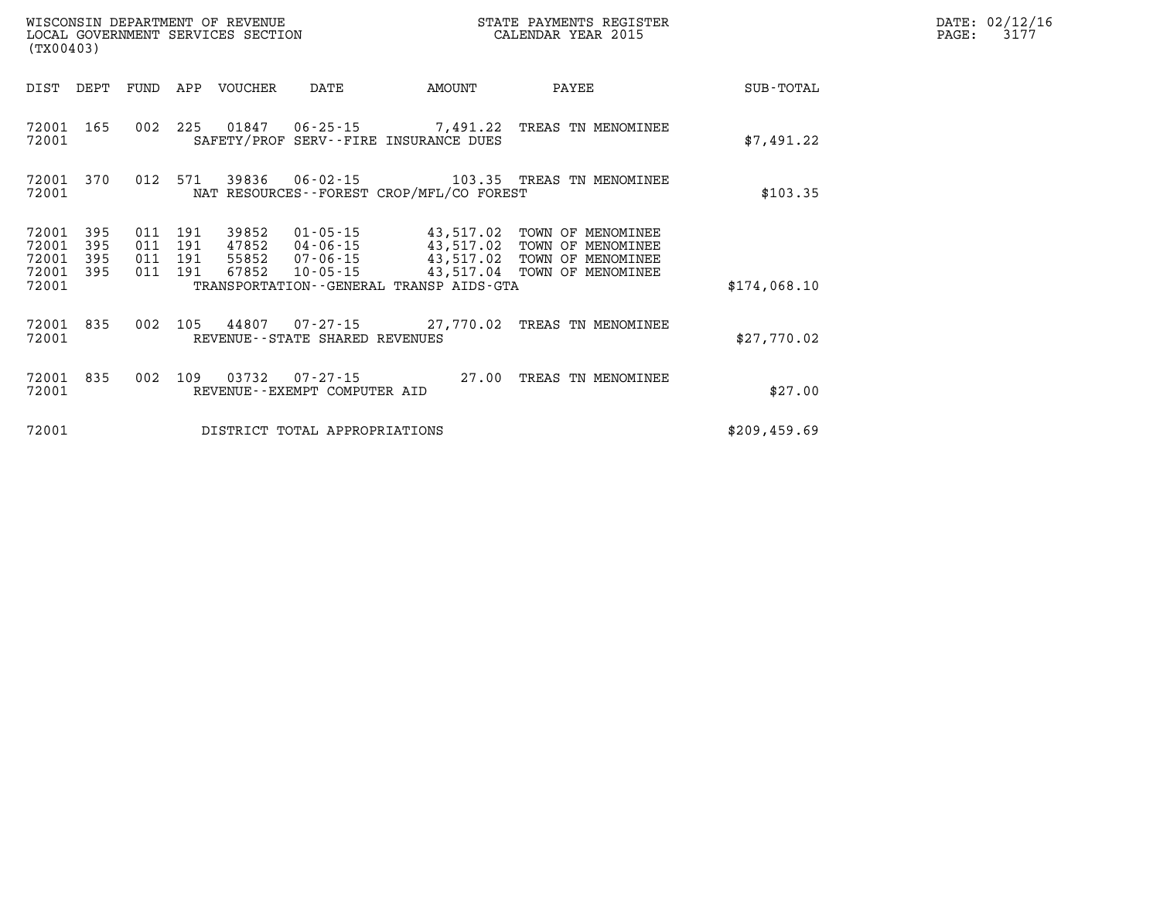| (TX00403)                        | WISCONSIN DEPARTMENT OF REVENUE<br>LOCAL GOVERNMENT SERVICES SECTION |                          |                          |                                  |                                                          |                                                   |                                                                                  |               |
|----------------------------------|----------------------------------------------------------------------|--------------------------|--------------------------|----------------------------------|----------------------------------------------------------|---------------------------------------------------|----------------------------------------------------------------------------------|---------------|
| DIST                             | DEPT                                                                 | FUND                     | APP                      | VOUCHER                          | DATE                                                     | AMOUNT                                            | PAYEE                                                                            | SUB-TOTAL     |
| 72001<br>72001                   | 165                                                                  | 002                      | 225                      |                                  | 01847   06-25-15                                         | 7,491.22<br>SAFETY/PROF SERV--FIRE INSURANCE DUES | TREAS TN MENOMINEE                                                               | \$7,491.22    |
| 72001<br>72001                   | 370                                                                  | 012                      | 571                      | 39836                            | 06-02-15                                                 | NAT RESOURCES--FOREST CROP/MFL/CO FOREST          | 103.35 TREAS TN MENOMINEE                                                        | \$103.35      |
| 72001<br>72001<br>72001<br>72001 | 395<br>395<br>395<br>395                                             | 011<br>011<br>011<br>011 | 191<br>191<br>191<br>191 | 39852<br>47852<br>55852<br>67852 | $01 - 05 - 15$<br>04-06-15<br>07-06-15<br>$10 - 05 - 15$ | 43,517.02<br>43,517.02<br>43,517.02<br>43,517.04  | TOWN OF MENOMINEE<br>TOWN OF MENOMINEE<br>TOWN OF MENOMINEE<br>TOWN OF MENOMINEE |               |
| 72001                            |                                                                      |                          |                          |                                  |                                                          | TRANSPORTATION - - GENERAL TRANSP AIDS - GTA      |                                                                                  | \$174,068.10  |
| 72001<br>72001                   | 835                                                                  | 002                      | 105                      |                                  | REVENUE - - STATE SHARED REVENUES                        | 44807 07-27-15 27,770.02                          | TREAS TN MENOMINEE                                                               | \$27,770.02   |
| 72001<br>72001                   | 835                                                                  | 002                      | 109                      | 03732                            | $07 - 27 - 15$<br>REVENUE - - EXEMPT COMPUTER AID        | 27.00                                             | TREAS<br>TN MENOMINEE                                                            | \$27.00       |
| 72001                            |                                                                      |                          |                          |                                  | DISTRICT TOTAL APPROPRIATIONS                            |                                                   |                                                                                  | \$209, 459.69 |